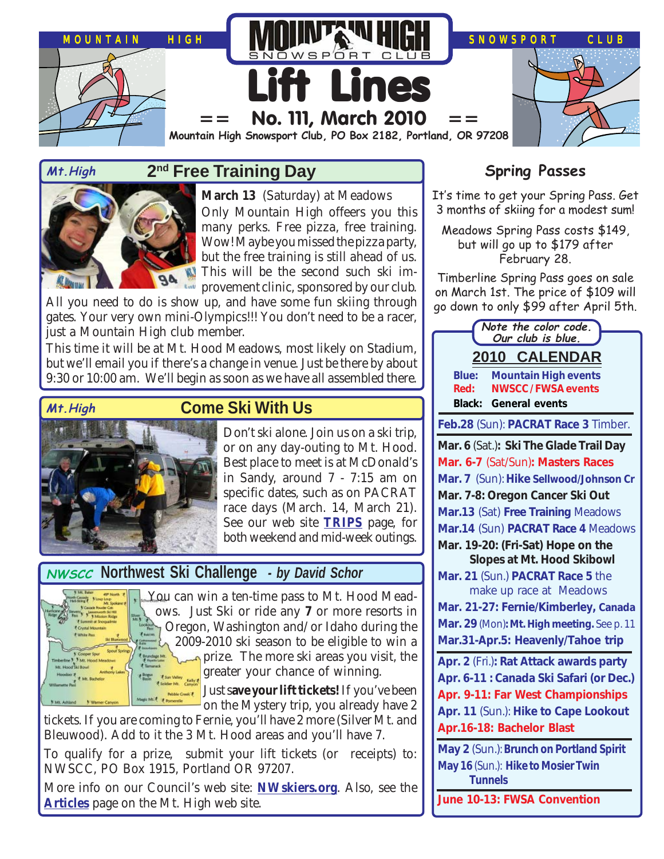

### **2nd Free Training Day Mt.High Spring Passes**



**March 13** (Saturday) at Meadows Only Mountain High offeers you this many perks. Free pizza, free training. Wow! Maybe you missed the pizza party, but the free training is still ahead of us. This will be the second such ski im-*La* provement clinic, sponsored by our club.

All you need to do is show up, and have some fun skiing through gates. Your very own mini-Olympics!!! You don't need to be a racer, just a Mountain High club member.

This time it will be at Mt. Hood Meadows, most likely on Stadium, but we'll email you if there's a change in venue. Just be there by about 9:30 or 10:00 am. We'll begin as soon as we have all assembled there.



# **Come Ski With Us**

Don't ski alone. Join us on a ski trip, or on any day-outing to Mt. Hood. Best place to meet is at McDonald's in Sandy, around 7 - 7:15 am on specific dates, such as on PACRAT race days (March. 14, March 21). See our web site **[TRIPS](http://www.mthigh.org/Trips.htm)** page, for both weekend and mid-week outings.

# **NWSCC** NOrthwest Ski Challenge - by David Schor



You can win a ten-time pass to Mt. Hood Meadows. Just Ski or ride any **7** or more resorts in Oregon, Washington and/or Idaho during the  $\lambda$  2009-2010 ski season to be eligible to win a prize. The more ski areas you visit, the **greater your chance of winning.** 

**IS NOTE CONSERVED SAVE YOUR lift tickets!** If you've been on the Mystery trip, you already have 2

tickets. If you are coming to Fernie, you'll have 2 more (Silver Mt. and Bleuwood). Add to it the 3 Mt. Hood areas and you'll have 7.

To qualify for a prize, submit your lift tickets (or receipts) to: NWSCC, PO Box 1915, Portland OR 97207.

More info on our Council's web site: **[NWskiers.org](http://www.nwskiers.org/)**. Also, see the **[Articles](http://www.mthigh.org/Articles.htm)** page on the Mt. High web site.

It's time to get your Spring Pass. Get 3 months of skiing for a modest sum!

Meadows Spring Pass costs \$149, but will go up to \$179 after February 28.

Timberline Spring Pass goes on sale on March 1st. The price of \$109 will go down to only \$99 after April 5th.

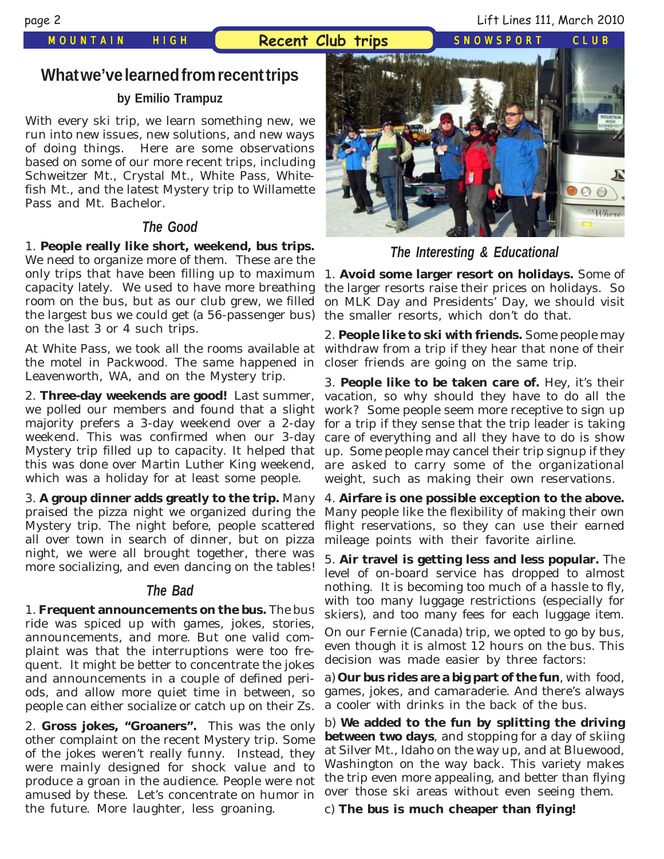page 2 Lift Lines 111, March 2010

### **What we've learned from recent trips**

### **by Emilio Trampuz**

With every ski trip, we learn something new, we run into new issues, new solutions, and new ways of doing things. Here are some observations based on some of our more recent trips, including Schweitzer Mt., Crystal Mt., White Pass, Whitefish Mt., and the latest Mystery trip to Willamette Pass and Mt. Bachelor.

### **The Good**

1. **People really like short, weekend, bus trips.** We need to organize more of them. These are the only trips that have been filling up to maximum capacity lately. We used to have more breathing room on the bus, but as our club grew, we filled the largest bus we could get (a 56-passenger bus) on the last 3 or 4 such trips.

At White Pass, we took all the rooms available at the motel in Packwood. The same happened in Leavenworth, WA, and on the Mystery trip.

2. **Three-day weekends are good!** Last summer, we polled our members and found that a slight majority prefers a 3-day weekend over a 2-day weekend. This was confirmed when our 3-day Mystery trip filled up to capacity. It helped that this was done over Martin Luther King weekend, which was a holiday for at least some people.

3. **A group dinner adds greatly to the trip.** Many praised the pizza night we organized during the Mystery trip. The night before, people scattered all over town in search of dinner, but on pizza night, we were all brought together, there was more socializing, and even dancing on the tables!

### **The Bad**

1. **Frequent announcements on the bus.** The bus ride was spiced up with games, jokes, stories, announcements, and more. But one valid complaint was that the interruptions were too frequent. It might be better to concentrate the jokes and announcements in a couple of defined periods, and allow more quiet time in between, so people can either socialize or catch up on their Zs.

2. **Gross jokes, "Groaners".** This was the only other complaint on the recent Mystery trip. Some of the jokes weren't really funny. Instead, they were mainly designed for shock value and to produce a groan in the audience. People were not amused by these. Let's concentrate on humor in the future. More laughter, less groaning.



**The Interesting & Educational**

1. **Avoid some larger resort on holidays.** Some of the larger resorts raise their prices on holidays. So on MLK Day and Presidents' Day, we should visit the smaller resorts, which don't do that.

2. **People like to ski with friends.** Some people may withdraw from a trip if they hear that none of their closer friends are going on the same trip.

3. **People like to be taken care of.** Hey, it's their vacation, so why should they have to do all the work? Some people seem more receptive to sign up for a trip if they sense that the trip leader is taking care of everything and all they have to do is show up. Some people may cancel their trip signup if they are asked to carry some of the organizational weight, such as making their own reservations.

4. **Airfare is one possible exception to the above.** Many people like the flexibility of making their own flight reservations, so they can use their earned mileage points with their favorite airline.

5. **Air travel is getting less and less popular.** The level of on-board service has dropped to almost nothing. It is becoming too much of a hassle to fly, with too many luggage restrictions (especially for skiers), and too many fees for each luggage item. On our Fernie (Canada) trip, we opted to go by bus, even though it is almost 12 hours on the bus. This decision was made easier by three factors:

a) **Our bus rides are a big part of the fun**, with food, games, jokes, and camaraderie. And there's always a cooler with drinks in the back of the bus.

b) **We added to the fun by splitting the driving between two days**, and stopping for a day of skiing at Silver Mt., Idaho on the way up, and at Bluewood, Washington on the way back. This variety makes the trip even more appealing, and better than flying over those ski areas without even seeing them.

c) **The bus is much cheaper than flying!**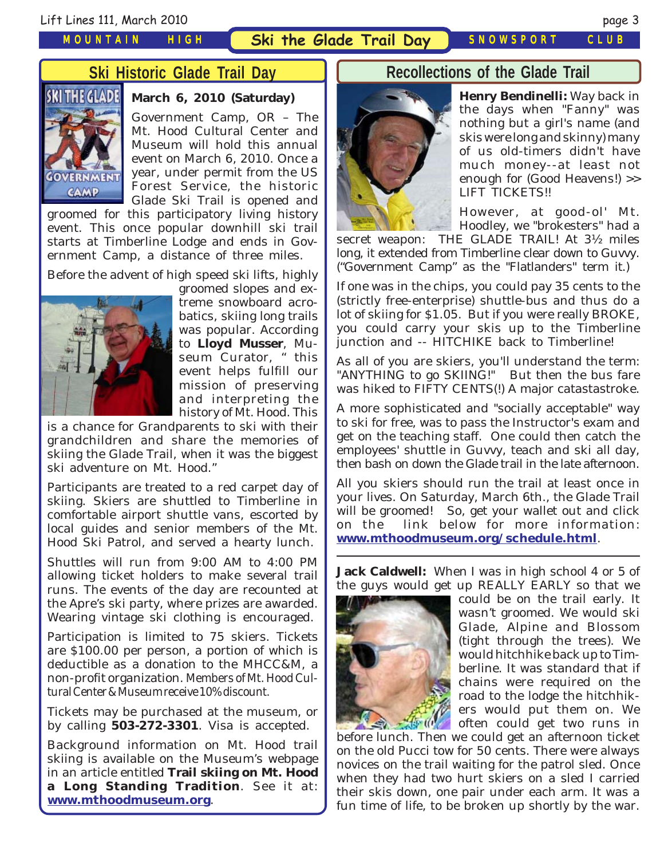### *MOUNTAIN HIGH*

### **Ski Historic Glade Trail Day**



### **March 6, 2010 (Saturday)**

Government Camp, OR – The Mt. Hood Cultural Center and Museum will hold this annual event on March 6, 2010. Once a year, under permit from the US Forest Service, the historic Glade Ski Trail is opened and

groomed for this participatory living history event. This once popular downhill ski trail starts at Timberline Lodge and ends in Government Camp, a distance of three miles.

Before the advent of high speed ski lifts, highly



groomed slopes and extreme snowboard acrobatics, skiing long trails was popular. According to **Lloyd Musser**, Museum Curator, " this event helps fulfill our mission of preserving and interpreting the history of Mt. Hood. This

is a chance for Grandparents to ski with their grandchildren and share the memories of skiing the Glade Trail, when it was the biggest ski adventure on Mt. Hood."

Participants are treated to a red carpet day of skiing. Skiers are shuttled to Timberline in comfortable airport shuttle vans, escorted by local guides and senior members of the Mt. Hood Ski Patrol, and served a hearty lunch.

Shuttles will run from 9:00 AM to 4:00 PM allowing ticket holders to make several trail runs. The events of the day are recounted at the Apre's ski party, where prizes are awarded. Wearing vintage ski clothing is encouraged.

Participation is limited to 75 skiers. Tickets are \$100.00 per person, a portion of which is deductible as a donation to the MHCC&M, a non-profit organization. Members of Mt. Hood Cultural Center & Museum receive 10% discount.

Tickets may be purchased at the museum, or by calling **503-272-3301**. Visa is accepted.

Background information on Mt. Hood trail skiing is available on the Museum's webpage in an article entitled **Trail skiing on Mt. Hood a Long Standing Tradition**. See it at: **[www.mthoodmuseum.org](http://www.mthoodmuseum.org/)**.

### **Recollections of the Glade Trail**



**Henry Bendinelli:** Way back in the days when "Fanny" was nothing but a girl's name (and skis were long and skinny) many of us old-timers didn't have much money--at least not enough for (Good Heavens!) >> LIFT TICKETS!!

However, at good-ol' Mt. Hoodley, we "brokesters" had a

secret weapon: THE GLADE TRAIL! At 3½ miles long, it extended from Timberline clear down to Guvvy. ("Government Camp" as the "Flatlanders" term it.)

If one was in the chips, you could pay 35 cents to the (strictly free-enterprise) shuttle-bus and thus do a lot of skiing for \$1.05. But if you were really BROKE, you could carry your skis up to the Timberline junction and -- HITCHIKE back to Timberline!

As all of you are skiers, you'll understand the term: "ANYTHING to go SKIING!" But then the bus fare was hiked to FIFTY CENTS(!) A major catastastroke.

A more sophisticated and "socially acceptable" way to ski for free, was to pass the Instructor's exam and get on the teaching staff. One could then catch the employees' shuttle in Guvvy, teach and ski all day, then bash on down the Glade trail in the late afternoon.

All you skiers should run the trail at least once in your lives. On Saturday, March 6th., the Glade Trail will be groomed! So, get your wallet out and click on the link below for more information: **[www.mthoodmuseum.org/schedule.html](http://www.mthoodmuseum.org/schedule.html)**.

**Jack Caldwell:** When I was in high school 4 or 5 of the guys would get up REALLY EARLY so that we



could be on the trail early. It wasn't groomed. We would ski Glade, Alpine and Blossom (tight through the trees). We would hitchhike back up to Timberline. It was standard that if chains were required on the road to the lodge the hitchhikers would put them on. We often could get two runs in

before lunch. Then we could get an afternoon ticket on the old Pucci tow for 50 cents. There were always novices on the trail waiting for the patrol sled. Once when they had two hurt skiers on a sled I carried their skis down, one pair under each arm. It was a fun time of life, to be broken up shortly by the war.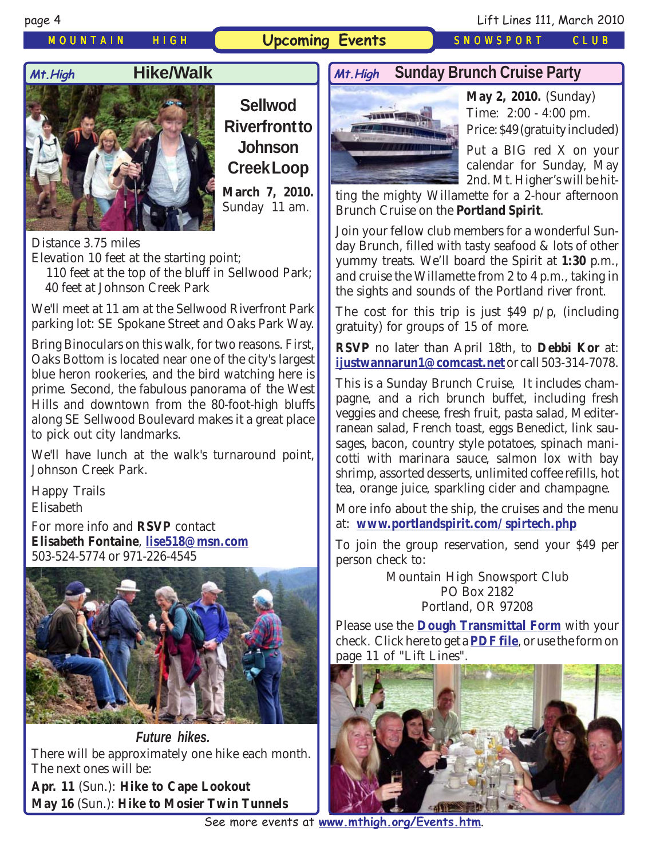### *MOUNTAIN HIGH* **Upcoming Events** *SNOWSPORT CLUB*



### **Hike/Walk**



**Sellwod Riverfront to Johnson Creek Loop March 7, 2010.** Sunday 11 am.

Distance 3.75 miles Elevation 10 feet at the starting point;

 110 feet at the top of the bluff in Sellwood Park; 40 feet at Johnson Creek Park

We'll meet at 11 am at the Sellwood Riverfront Park parking lot: SE Spokane Street and Oaks Park Way.

Bring Binoculars on this walk, for two reasons. First, Oaks Bottom is located near one of the city's largest blue heron rookeries, and the bird watching here is prime. Second, the fabulous panorama of the West Hills and downtown from the 80-foot-high bluffs along SE Sellwood Boulevard makes it a great place to pick out city landmarks.

We'll have lunch at the walk's turnaround point, Johnson Creek Park.

Happy Trails Elisabeth

For more info and **RSVP** contact **Elisabeth Fontaine**, **[lise518@msn.com](mailto:lise518@msn.com)** 503-524-5774 or 971-226-4545



**Future hikes.** There will be approximately one hike each month. The next ones will be: **Apr. 11** (Sun.): **Hike to Cape Lookout**

**May 16** (Sun.): **Hike to Mosier Twin Tunnels**

### Mt. High **Sunday Brunch Cruise Party Mt. High** Sunday Brunch Cruise Party **Mt.High**



**May 2, 2010.** (Sunday) Time: 2:00 - 4:00 pm. Price: \$49 (gratuity included)

Put a BIG red X on your calendar for Sunday, May 2nd. Mt. Higher's will be hit-

ting the mighty Willamette for a 2-hour afternoon Brunch Cruise on the **Portland Spirit**.

Join your fellow club members for a wonderful Sunday Brunch, filled with tasty seafood & lots of other yummy treats. We'll board the Spirit at **1:30** p.m., and cruise the Willamette from 2 to 4 p.m., taking in the sights and sounds of the Portland river front.

The cost for this trip is just  $$49 \text{ p}/\text{p}$ , (including gratuity) for groups of 15 of more.

**RSVP** no later than April 18th, to **Debbi Kor** at: **[ijustwannarun1@comcast.net](mailto:Ijustwannarun1@comcast.net)** or call 503-314-7078.

This is a Sunday Brunch Cruise, It includes champagne, and a rich brunch buffet, including fresh veggies and cheese, fresh fruit, pasta salad, Mediterranean salad, French toast, eggs Benedict, link sausages, bacon, country style potatoes, spinach manicotti with marinara sauce, salmon lox with bay shrimp, assorted desserts, unlimited coffee refills, hot tea, orange juice, sparkling cider and champagne.

More info about the ship, the cruises and the menu at: **[www.portlandspirit.com/spirtech.php](http://www.portlandspirit.com/spirtech.php)**

To join the group reservation, send your \$49 per person check to:

> Mountain High Snowsport Club PO Box 2182 Portland, OR 97208

Please use the **[Dough Transmittal Form](http://www.mthigh.org/Documents/DOUGH%20TRANSMITTAL%20FORM.pdf)** with your check. Click here to get a **[PDF file](http://www.mthigh.org/Documents/DOUGH%20TRANSMITTAL%20FORM.pdf)**, or use the form on page 11 of "Lift Lines".

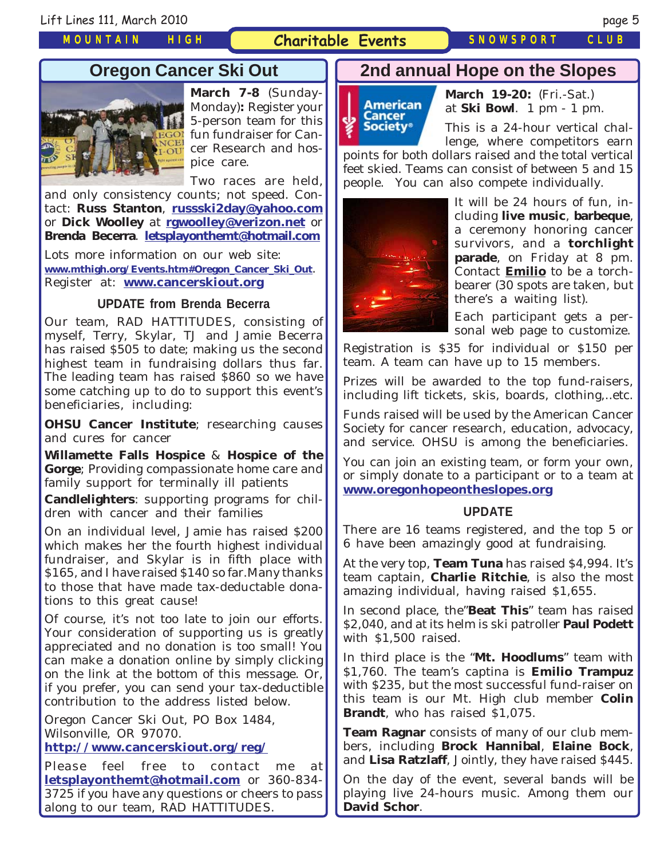### *MOUNTAIN HIGH*

### **Charitable Events** *SNOWSPORT CLUB*

### **Oregon Cancer Ski Out**



**March 7-8** (Sunday-Monday)**:** Register your 5-person team for this fun fundraiser for Cancer Research and hospice care.

Two races are held,

and only consistency counts; not speed. Contact: **Russ Stanton**, **[russski2day@yahoo.com](mailto:russski2day@yahoo.com)** or **Dick Woolley** at **[rgwoolley@verizon.net](mailto:rgwoolley@verizon.net)** or **Brenda Becerra**. **[letsplayonthemt@hotmail.com](mailto:letsplayonthemt@hotmail.com)**

Lots more information on our web site: **[www.mthigh.org/Events.htm#Oregon\\_Cancer\\_Ski\\_Out](http://www.mthigh.org/Events.htm#Oregon_Cancer_Ski_Out)**. Register at: **[www.cancerskiout.org](http://www.cancerskiout.org/)**

### **UPDATE from Brenda Becerra**

Our team, RAD HATTITUDES, consisting of myself, Terry, Skylar, TJ and Jamie Becerra has raised \$505 to date; making us the second highest team in fundraising dollars thus far. The leading team has raised \$860 so we have some catching up to do to support this event's beneficiaries, including:

**OHSU Cancer Institute**; researching causes and cures for cancer

**Willamette Falls Hospice** & **Hospice of the Gorge**; Providing compassionate home care and family support for terminally ill patients

**Candlelighters**: supporting programs for children with cancer and their families

On an individual level, Jamie has raised \$200 which makes her the fourth highest individual fundraiser, and Skylar is in fifth place with \$165, and I have raised \$140 so far.Many thanks to those that have made tax-deductable donations to this great cause!

Of course, it's not too late to join our efforts. Your consideration of supporting us is greatly appreciated and no donation is too small! You can make a donation online by simply clicking on the link at the bottom of this message. Or, if you prefer, you can send your tax-deductible contribution to the address listed below.

Oregon Cancer Ski Out, PO Box 1484, Wilsonville, OR 97070.

**<http://www.cancerskiout.org/reg/>**

Please feel free to contact me at **[letsplayonthemt@hotmail.com](mailto:letsplayonthemt@hotmail.com)** or 360-834- 3725 if you have any questions or cheers to pass along to our team, RAD HATTITUDES.

### **2nd annual Hope on the Slopes**



**March 19-20:** (Fri.-Sat.) at **Ski Bowl**. 1 pm - 1 pm.

This is a 24-hour vertical challenge, where competitors earn

points for both dollars raised and the total vertical feet skied. Teams can consist of between 5 and 15 people. You can also compete individually.



It will be 24 hours of fun, including **live music**, **barbeque**, a ceremony honoring cancer survivors, and a **torchlight parade**, on Friday at 8 pm. Contact **[Emilio](mailto:Emilio2000@earthlink.net)** to be a torchbearer (30 spots are taken, but there's a waiting list).

Each participant gets a personal web page to customize.

Registration is \$35 for individual or \$150 per team. A team can have up to 15 members.

Prizes will be awarded to the top fund-raisers, including lift tickets, skis, boards, clothing,..etc.

Funds raised will be used by the American Cancer Society for cancer research, education, advocacy, and service. OHSU is among the beneficiaries.

You can join an existing team, or form your own, or simply donate to a participant or to a team at **[www.oregonhopeontheslopes.org](http://www.oregonhopeontheslopes.org/)**

### **UPDATE**

There are 16 teams registered, and the top 5 or 6 have been amazingly good at fundraising.

At the very top, **Team Tuna** has raised \$4,994. It's team captain, **Charlie Ritchie**, is also the most amazing individual, having raised \$1,655.

In second place, the"**Beat This**" team has raised \$2,040, and at its helm is ski patroller **Paul Podett** with \$1,500 raised.

In third place is the "**Mt. Hoodlums**" team with \$1,760. The team's captina is **Emilio Trampuz** with \$235, but the most successful fund-raiser on this team is our Mt. High club member **Colin Brandt**, who has raised \$1,075.

**Team Ragnar** consists of many of our club members, including **Brock Hannibal**, **Elaine Bock**, and **Lisa Ratzlaff**, Jointly, they have raised \$445.

On the day of the event, several bands will be playing live 24-hours music. Among them our **David Schor**.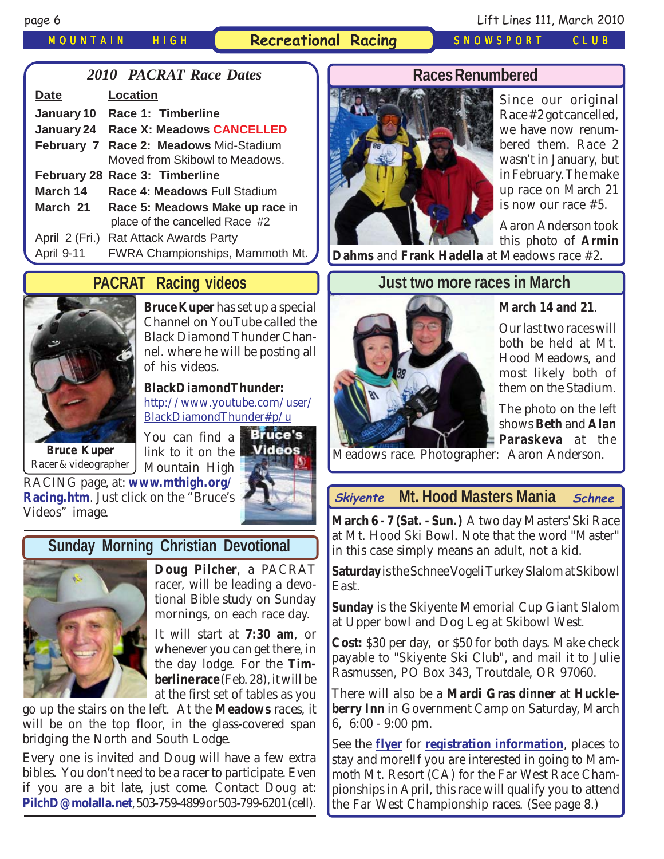*MOUNTAIN HIGH* **Recreational Racing** *SNOWSPORT CLUB*

### *2010 PACRAT Race Dates*

| <b>Date</b>    | Location                                      |
|----------------|-----------------------------------------------|
| January 10     | Race 1: Timberline                            |
| January 24     | <b>Race X: Meadows CANCELLED</b>              |
|                | <b>February 7 Race 2: Meadows Mid-Stadium</b> |
|                | Moved from Skibowl to Meadows.                |
|                | February 28 Race 3: Timberline                |
| March 14       | Race 4: Meadows Full Stadium                  |
| March 21       | Race 5: Meadows Make up race in               |
|                | place of the cancelled Race #2                |
| April 2 (Fri.) | <b>Rat Attack Awards Party</b>                |
| April 9-11     | FWRA Championships, Mammoth Mt.               |
|                |                                               |

# **PACRAT Racing videos**



**Bruce Kuper** has set up a special Channel on YouTube called the Black Diamond Thunder Channel. where he will be posting all of his videos.

### **BlackDiamondThunder:**

[http://www.youtube.com/user/](http://www.youtube.com/user/BlackDiamondThunder#p/u ) [BlackDiamondThunder#p/u](http://www.youtube.com/user/BlackDiamondThunder#p/u ) 

**Bruce Kuper** Racer & videographer

**Bruce's** You can find a link to it on the Mountain High



### RACING page, at: **[www.mthigh.org/](http://www.mthigh.org/Racing.htm) [Racing.htm](http://www.mthigh.org/Racing.htm)**. Just click on the "Bruce's Videos" image.

# **Sunday Morning Christian Devotional**



**Doug Pilcher**, a PACRAT racer, will be leading a devotional Bible study on Sunday mornings, on each race day.

It will start at **7:30 am**, or whenever you can get there, in the day lodge. For the **Timberline race** (Feb. 28), it will be at the first set of tables as you

go up the stairs on the left. At the **Meadows** races, it will be on the top floor, in the glass-covered span bridging the North and South Lodge.

Every one is invited and Doug will have a few extra bibles. You don't need to be a racer to participate. Even if you are a bit late, just come. Contact Doug at: **[PilchD@molalla.net](mailto:PilchD@molalla.net)**, 503-759-4899 or 503-799-6201 (cell).



Since our original Race #2 got cancelled, we have now renumbered them. Race 2 wasn't in January, but in February. The make up race on March 21 is now our race #5.

Aaron Anderson took this photo of **Armin**

**Dahms** and **Frank Hadella** at Meadows race #2.

# **Just two more races in March**



### **March 14 and 21**.

Our last two races will both be held at Mt. Hood Meadows, and most likely both of them on the Stadium.

The photo on the left shows **Beth** and **Alan Paraskeva** at the

Meadows race. Photographer: Aaron Anderson.

### **Mt. Hood Masters Mania Skiyente Schnee**

**March 6 - 7 (Sat. - Sun.)** A two day Masters' Ski Race at Mt. Hood Ski Bowl. Note that the word "Master" in this case simply means an adult, not a kid.

**Saturday** is the Schnee Vogeli Turkey Slalom at Skibowl East.

**Sunday** is the Skiyente Memorial Cup Giant Slalom at Upper bowl and Dog Leg at Skibowl West.

**Cost:** \$30 per day, or \$50 for both days. Make check payable to "Skiyente Ski Club", and mail it to Julie Rasmussen, PO Box 343, Troutdale, OR 97060.

There will also be a **Mardi Gras dinner** at **Huckleberry Inn** in Government Camp on Saturday, March 6, 6:00 - 9:00 pm.

See the **[flyer](http://www.mthigh.org/Events/Master-Mania-2010-Flyer.pdf)** for **[registration information](http://www.mthigh.org/Events/Master-Mania-2010-Flyer.pdf)**, places to stay and more!If you are interested in going to Mammoth Mt. Resort (CA) for the Far West Race Championships in April, this race will qualify you to attend the Far West Championship races. (See page 8.)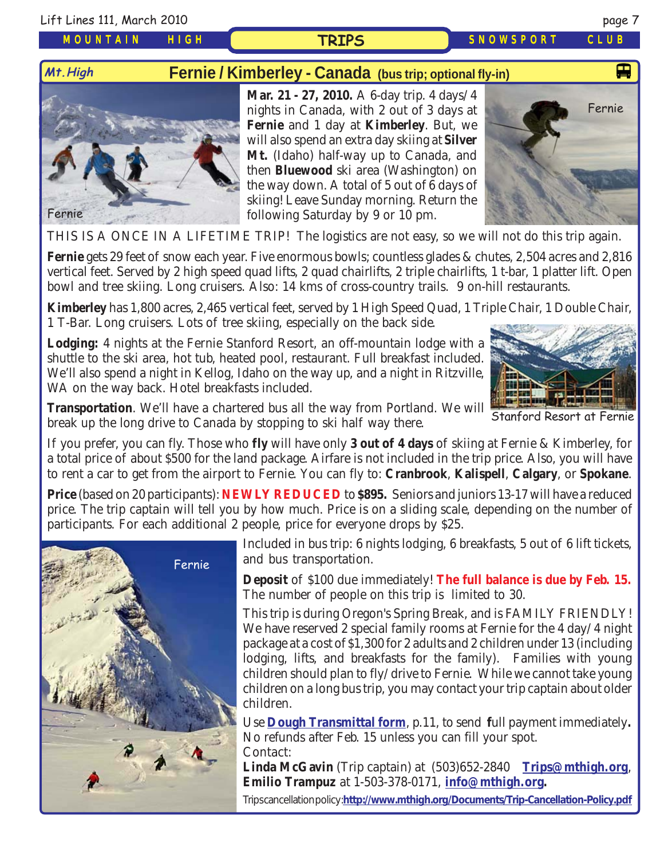Lift Lines 111, March 2010 page 7

**Mt.High**

*MOUNTAIN HIGH*

# **Fernie / Kimberley - Canada [\(bus trip; optional fly-in\)](http://www.crystalmt.com/)**

**TRIPS**



**Mar. 21 - 27, 2010.** A 6-day trip. 4 days/4 nights in Canada, with 2 out of 3 days at **Fernie** and 1 day at **Kimberley**. But, we will also spend an extra day skiing at **Silver Mt.** (Idaho) half-way up to Canada, and then **Bluewood** ski area (Washington) on the way down. A total of 5 out of 6 days of skiing! Leave Sunday morning. Return the following Saturday by 9 or 10 pm.



*SNOWSPORT CLUB*

THIS IS A ONCE IN A LIFETIME TRIP! The logistics are not easy, so we will not do this trip again.

**Fernie** gets 29 feet of snow each year. Five enormous bowls; countless glades & chutes, 2,504 acres and 2,816 vertical feet. Served by 2 high speed quad lifts, 2 quad chairlifts, 2 triple chairlifts, 1 t-bar, 1 platter lift. Open bowl and tree skiing. Long cruisers. Also: 14 kms of cross-country trails. 9 on-hill restaurants.

**Kimberley** has 1,800 acres, 2,465 vertical feet, served by 1 High Speed Quad, 1 Triple Chair, 1 Double Chair, 1 T-Bar. Long cruisers. Lots of tree skiing, especially on the back side.

**Lodging:** 4 nights at the Fernie Stanford Resort, an off-mountain lodge with a shuttle to the ski area, hot tub, heated pool, restaurant. Full breakfast included. We'll also spend a night in Kellog, Idaho on the way up, and a night in Ritzville, WA on the way back. Hotel breakfasts included.



Stanford Resort at Fernie

**Transportation**. We'll have a chartered bus all the way from Portland. We will break up the long drive to Canada by stopping to ski half way there.

If you prefer, you can fly. Those who **fly** will have only **3 out of 4 days** of skiing at Fernie & Kimberley, for a total price of about \$500 for the land package. Airfare is not included in the trip price. Also, you will have to rent a car to get from the airport to Fernie. You can fly to: **Cranbrook**, **Kalispell**, **Calgary**, or **Spokane**.

**Price** (based on 20 participants): **NEWLY REDUCED** to **\$895.** Seniors and juniors 13-17 will have a reduced price. The trip captain will tell you by how much. Price is on a sliding scale, depending on the number of participants. For each additional 2 people, price for everyone drops by \$25.



Included in bus trip: 6 nights lodging, 6 breakfasts, 5 out of 6 lift tickets, and bus transportation.

**Deposit** of \$100 due immediately! **The full balance is due by Feb. 15.** The number of people on this trip is limited to 30.

This trip is during Oregon's Spring Break, and is FAMILY FRIENDLY! We have reserved 2 special family rooms at Fernie for the 4 day/4 night package at a cost of \$1,300 for 2 adults and 2 children under 13 (including lodging, lifts, and breakfasts for the family). Families with young children should plan to fly/drive to Fernie. While we cannot take young children on a long bus trip, you may contact your trip captain about older children.

Use **[Dough Transmittal form](http://www.mthigh.org/Documents/DOUGH%20TRANSMITTAL%20FORM.pdf)**, p.11, to send **f**ull payment immediately**.** No refunds after Feb. 15 unless you can fill your spot. Contact:

**Linda McGavin** (Trip captain) at (503)652-2840 **[Trips@mthigh.org](mailto:Trips@mthigh.org)**, **Emilio Trampuz** at 1-503-378-0171, **[info@mthigh.org.](mailto:info@MtHigh.org)**

Trips cancellation policy : **<http://www.mthigh.org/Documents/Trip-Cancellation-Policy.pdf>**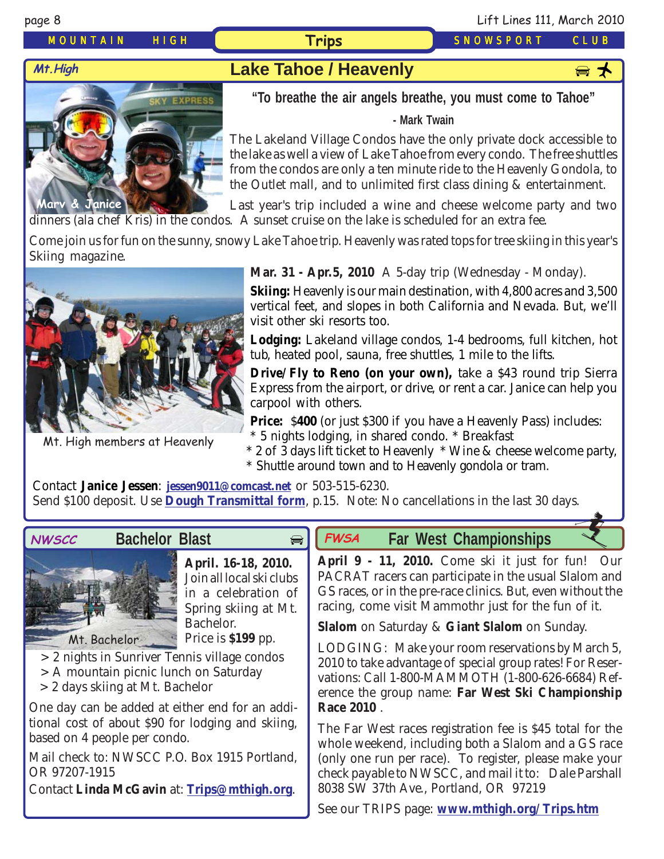*MOUNTAIN HIGH* **Trips** *SNOWSPORT CLUB*

# **Mt. High Lake Tahoe / Heavenly**

# **Marv & Janice**

**"To breathe the air angels breathe, you must come to Tahoe"**

### **- Mark Twain**

The Lakeland Village Condos have the only private dock accessible to the lake as well a view of Lake Tahoe from every condo. The free shuttles from the condos are only a ten minute ride to the Heavenly Gondola, to the Outlet mall, and to unlimited first class dining & entertainment.

Last year's trip included a wine and cheese welcome party and two dinners (ala chef Kris) in the condos. A sunset cruise on the lake is scheduled for an extra fee.

Come join us for fun on the sunny, snowy Lake Tahoe trip. Heavenly was rated tops for tree skiing in this year's Skiing magazine.



Mt. High members at Heavenly

**Mar. 31 - Apr.5, 2010** A 5-day trip (Wednesday - Monday).

**Skiing:** Heavenly is our main destination, with 4,800 acres and 3,500 vertical feet, and slopes in both California and Nevada. But, we'll visit other ski resorts too.

**Lodging:** Lakeland village condos, 1-4 bedrooms, full kitchen, hot tub, heated pool, sauna, free shuttles, 1 mile to the lifts.

**Drive/Fly to Reno (on your own),** take a \$43 round trip Sierra Express from the airport, or drive, or rent a car. Janice can help you carpool with others.

**Price:** \$400 (or just \$300 if you have a Heavenly Pass) includes:

\* 5 nights lodging, in shared condo. \* Breakfast

\* 2 of 3 days lift ticket to Heavenly \* Wine & cheese welcome party, \* Shuttle around town and to Heavenly gondola or tram.

Contact **Janice Jessen**: **[jessen9011@comcast.net](mailto:jessen9011@comcast.net)** or 503-515-6230. Send \$100 deposit. Use **[Dough Transmittal form](http://www.mthigh.org/Documents/DOUGH%20TRANSMITTAL%20FORM.pdf)**, p.15. Note: No cancellations in the last 30 days.

 $\bigoplus$ 



### **Bachelor Blast**



**April. 16-18, 2010.** Join all local ski clubs in a celebration of Spring skiing at Mt. Bachelor. Price is **\$199** pp.

> 2 nights in Sunriver Tennis village condos

- > A mountain picnic lunch on Saturday
- > 2 days skiing at Mt. Bachelor

One day can be added at either end for an additional cost of about \$90 for lodging and skiing, based on 4 people per condo.

Mail check to: NWSCC P.O. Box 1915 Portland, OR 97207-1915

Contact **Linda McGavin** at: **[Trips@mthigh.org](mailto:Trips@mthigh.org)**.

# **FWSA** Far West Championships

**April 9 - 11, 2010.** Come ski it just for fun! Our PACRAT racers can participate in the usual Slalom and GS races, or in the pre-race clinics. But, even without the racing, come visit Mammothr just for the fun of it.

**Slalom** on Saturday & **Giant Slalom** on Sunday.

LODGING: Make your room reservations by March 5, 2010 to take advantage of special group rates! For Reservations: Call 1-800-MAMMOTH (1-800-626-6684) Reference the group name: **Far West Ski Championship Race 2010** .

The Far West races registration fee is \$45 total for the whole weekend, including both a Slalom and a GS race (only one run per race). To register, please make your check payable to NWSCC, and mail it to: Dale Parshall 8038 SW 37th Ave., Portland, OR 97219

See our TRIPS page: **[www.mthigh.org/Trips.htm](http://www.mthigh.org/Trips.htm)**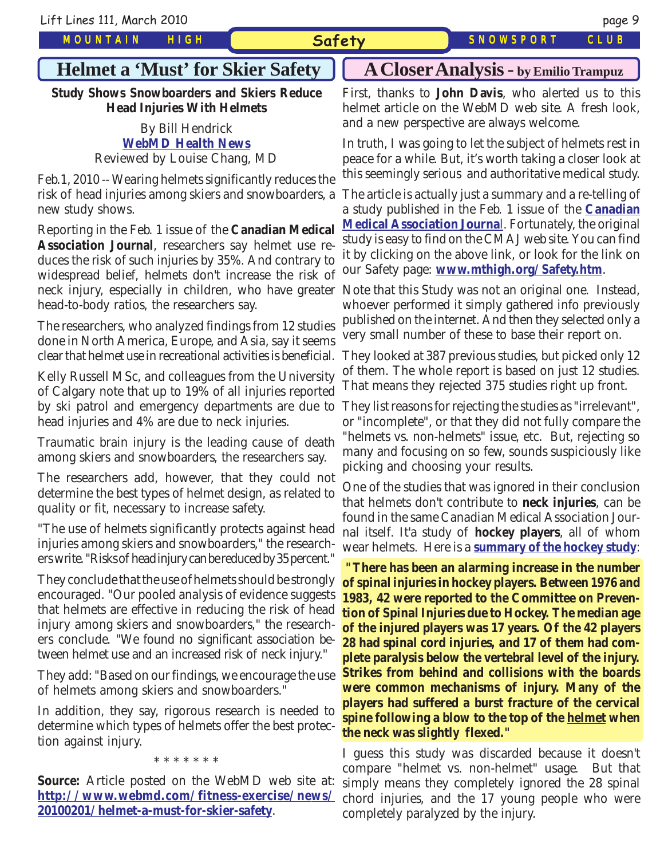*MOUNTAIN HIGH*

### **Safety** *SNOWSPORT CLUB*

# **Helmet a 'Must' for Skier Safety**

**Study Shows Snowboarders and Skiers Reduce Head Injuries With Helmets**

### By Bill Hendrick **[WebMD Health News](http://www.webmd.com/fitness-exercise/news/20100201/helmet-a-must-for-skier-safety)** Reviewed by Louise Chang, MD

Feb.1, 2010 -- Wearing helmets significantly reduces the risk of head injuries among skiers and snowboarders, a The article is actually just a summary and a re-telling of new study shows.

Reporting in the Feb. 1 issue of the **Canadian Medical Association Journal**, researchers say helmet use reduces the risk of such injuries by 35%. And contrary to widespread belief, helmets don't increase the risk of neck injury, especially in children, who have greater Note that this Study was not an original one. Instead, head-to-body ratios, the researchers say.

The researchers, who analyzed findings from 12 studies done in North America, Europe, and Asia, say it seems clear that helmet use in recreational activities is beneficial.

Kelly Russell MSc, and colleagues from the University of Calgary note that up to 19% of all injuries reported by ski patrol and emergency departments are due to They list reasons for rejecting the studies as "irrelevant", head injuries and 4% are due to neck injuries.

Traumatic brain injury is the leading cause of death among skiers and snowboarders, the researchers say.

The researchers add, however, that they could not determine the best types of helmet design, as related to quality or fit, necessary to increase safety.

"The use of helmets significantly protects against head injuries among skiers and snowboarders," the researchers write. "Risks of head injury can be reduced by 35 percent."

They conclude that the use of helmets should be strongly encouraged. "Our pooled analysis of evidence suggests that helmets are effective in reducing the risk of head injury among skiers and snowboarders," the researchers conclude. "We found no significant association between helmet use and an increased risk of neck injury."

They add: "Based on our findings, we encourage the use of helmets among skiers and snowboarders."

In addition, they say, rigorous research is needed to determine which types of helmets offer the best protection against injury.

\* \* \* \* \* \* \*

**Source:** Article posted on the WebMD web site at: **[http://www.webmd.com/fitness-exercise/news/](http://www.webmd.com/fitness-exercise/news/20100201/helmet-a-must-for-skier-safety) [20100201/helmet-a-must-for-skier-safety](http://www.webmd.com/fitness-exercise/news/20100201/helmet-a-must-for-skier-safety)**.

### **A Closer Analysis - by Emilio Trampuz**

First, thanks to **John Davis**, who alerted us to this helmet article on the WebMD web site. A fresh look, and a new perspective are always welcome.

In truth, I was going to let the subject of helmets rest in peace for a while. But, it's worth taking a closer look at this seemingly serious and authoritative medical study.

a study published in the Feb. 1 issue of the **[Canadian](http://www.cmaj.ca/cgi/rapidpdf/cmaj.091080v1?maxtoshow=&hits=10&RESULTFORMAT=&fulltext=helmet&andorexactfulltext=and&searchid=1&FIRSTINDEX=0&sortspec=date&resourcetype=HWCIT) [Medical Association Journa](http://www.cmaj.ca/cgi/rapidpdf/cmaj.091080v1?maxtoshow=&hits=10&RESULTFORMAT=&fulltext=helmet&andorexactfulltext=and&searchid=1&FIRSTINDEX=0&sortspec=date&resourcetype=HWCIT)**l. Fortunately, the original study is easy to find on the CMAJ web site. You can find it by clicking on the above link, or look for the link on our Safety page: **[www.mthigh.org/Safety.htm](http://www.mthigh.org/Safety.htm)**.

whoever performed it simply gathered info previously published on the internet. And then they selected only a very small number of these to base their report on.

They looked at 387 previous studies, but picked only 12 of them. The whole report is based on just 12 studies. That means they rejected 375 studies right up front.

or "incomplete", or that they did not fully compare the "helmets vs. non-helmets" issue, etc. But, rejecting so many and focusing on so few, sounds suspiciously like picking and choosing your results.

One of the studies that was ignored in their conclusion that helmets don't contribute to **neck injuries**, can be found in the same Canadian Medical Association Journal itself. It'a study of **hockey players**, all of whom wear helmets. Here is a **[summary of the hockey study](http://www.cmaj.ca/cgi/content/abstract/130/7/875?maxtoshow=&hits=10&RESULTFORMAT=&fulltext=Helmet+neck+injuries&andorexactfulltext=and&searchid=1&FIRSTINDEX=0&sortspec=date&resourcetype=HWCIT)**:

**"There has been an alarming increase in the number of spinal injuries in hockey players. Between 1976 and 1983, 42 were reported to the Committee on Prevention of Spinal Injuries due to Hockey. The median age of the injured players was 17 years. Of the 42 players 28 had spinal cord injuries, and 17 of them had complete paralysis below the vertebral level of the injury. Strikes from behind and collisions with the boards were common mechanisms of injury. Many of the players had suffered a burst fracture of the cervical spine following a blow to the top of the helmet when the neck was slightly flexed."**

I guess this study was discarded because it doesn't compare "helmet vs. non-helmet" usage. But that simply means they completely ignored the 28 spinal chord injuries, and the 17 young people who were completely paralyzed by the injury.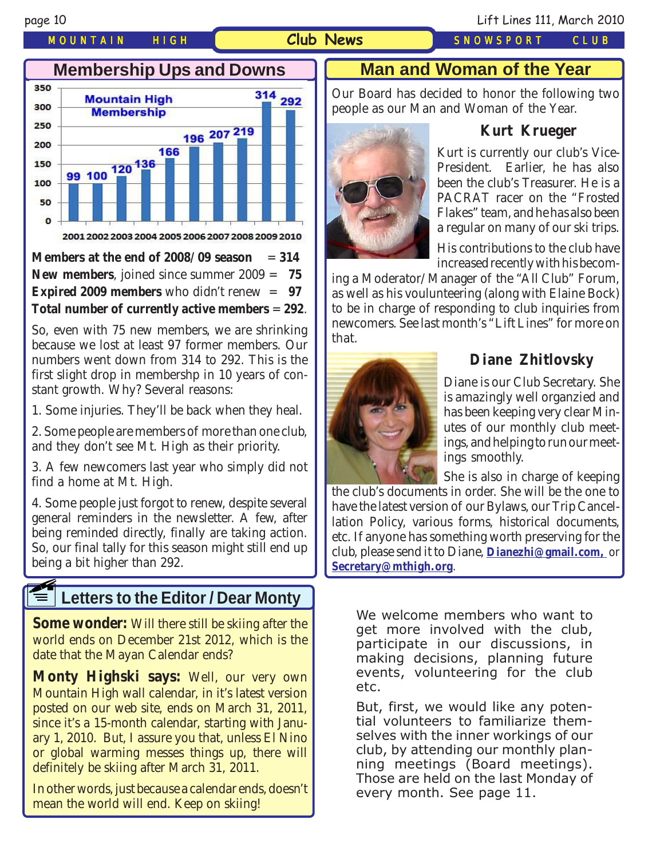### *MOUNTAIN HIGH* **Club News** *SNOWSPORT CLUB*





**Members at the end of 2008/09 season**  $= 314$ **New members**, joined since summer 2009 = **75 Expired 2009 members** who didn't renew = **97 Total number of currently active members** = **292**.

So, even with 75 new members, we are shrinking because we lost at least 97 former members. Our numbers went down from 314 to 292. This is the first slight drop in membershp in 10 years of constant growth. Why? Several reasons:

1. Some injuries. They'll be back when they heal.

2. Some people are members of more than one club, and they don't see Mt. High as their priority.

3. A few newcomers last year who simply did not find a home at Mt. High.

4. Some people just forgot to renew, despite several general reminders in the newsletter. A few, after being reminded directly, finally are taking action. So, our final tally for this season might still end up being a bit higher than 292.

### **Letters to the Editor / Dear Monty F1**

**Some wonder:** Will there still be skiing after the world ends on December 21st 2012, which is the date that the Mayan Calendar ends?

**Monty Highski says:** Well, our very own Mountain High wall calendar, in it's latest version posted on our web site, ends on March 31, 2011, since it's a 15-month calendar, starting with January 1, 2010. But, I assure you that, unless El Nino or global warming messes things up, there will definitely be skiing after March 31, 2011.

In other words, just because a calendar ends, doesn't mean the world will end. Keep on skiing!

### **Man and Woman of the Year**

Our Board has decided to honor the following two people as our Man and Woman of the Year.



### **Kurt Krueger**

Kurt is currently our club's Vice-President. Earlier, he has also been the club's Treasurer. He is a PACRAT racer on the "Frosted Flakes" team, and he has also been a regular on many of our ski trips.

His contributions to the club have increased recently with his becom-

ing a Moderator/Manager of the "All Club" Forum, as well as his voulunteering (along with Elaine Bock) to be in charge of responding to club inquiries from newcomers. See last month's "Lift Lines" for more on that.



### **Diane Zhitlovsky**

Diane is our Club Secretary. She is amazingly well organzied and has been keeping very clear Minutes of our monthly club meetings, and helping to run our meetings smoothly.

She is also in charge of keeping

the club's documents in order. She will be the one to have the latest version of our Bylaws, our Trip Cancellation Policy, various forms, historical documents, etc. If anyone has something worth preserving for the club, please send it to Diane, **[Dianezhi@gmail.com,](mailto:dianezhi@gmail.com)** or **[Secretary@mthigh.org](mailto:Secretary@mthigh.org)**.

We welcome members who want to get more involved with the club, participate in our discussions, in making decisions, planning future events, volunteering for the club etc.

But, first, we would like any potential volunteers to familiarize themselves with the inner workings of our club, by attending our monthly planning meetings (Board meetings). Those are held on the last Monday of every month. See page 11.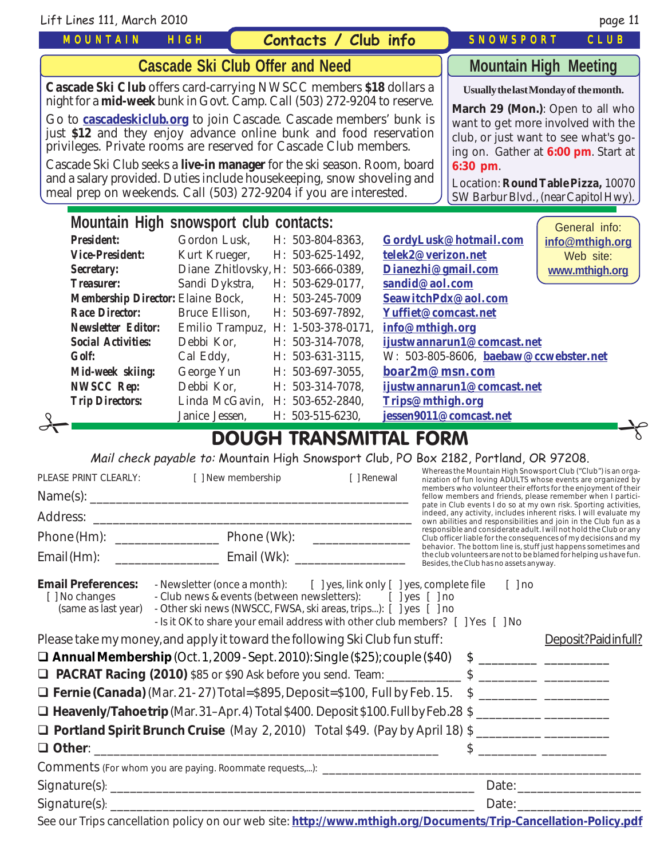| Lift Lines 111, March 2010                                                                                                                                                                                                                                                                                                                                                                                                                                                                                                                                                                             |                                                                                                                                                                                                                                                                                          |                                                                                                                                                                                                                                                                                                     |                                                                                                                                            |                                                                                                                                                                                                                                                                                                                                                                                                                                                                                                                                                                                                                                                                                                                                                                                                       | page 11                                                         |
|--------------------------------------------------------------------------------------------------------------------------------------------------------------------------------------------------------------------------------------------------------------------------------------------------------------------------------------------------------------------------------------------------------------------------------------------------------------------------------------------------------------------------------------------------------------------------------------------------------|------------------------------------------------------------------------------------------------------------------------------------------------------------------------------------------------------------------------------------------------------------------------------------------|-----------------------------------------------------------------------------------------------------------------------------------------------------------------------------------------------------------------------------------------------------------------------------------------------------|--------------------------------------------------------------------------------------------------------------------------------------------|-------------------------------------------------------------------------------------------------------------------------------------------------------------------------------------------------------------------------------------------------------------------------------------------------------------------------------------------------------------------------------------------------------------------------------------------------------------------------------------------------------------------------------------------------------------------------------------------------------------------------------------------------------------------------------------------------------------------------------------------------------------------------------------------------------|-----------------------------------------------------------------|
| <b>MOUNTAIN</b>                                                                                                                                                                                                                                                                                                                                                                                                                                                                                                                                                                                        | HIGH                                                                                                                                                                                                                                                                                     | Contacts / Club info                                                                                                                                                                                                                                                                                |                                                                                                                                            | <b>SNOWSPORT</b>                                                                                                                                                                                                                                                                                                                                                                                                                                                                                                                                                                                                                                                                                                                                                                                      | CLUB                                                            |
| <b>Cascade Ski Club Offer and Need</b>                                                                                                                                                                                                                                                                                                                                                                                                                                                                                                                                                                 |                                                                                                                                                                                                                                                                                          |                                                                                                                                                                                                                                                                                                     | <b>Mountain High Meeting</b>                                                                                                               |                                                                                                                                                                                                                                                                                                                                                                                                                                                                                                                                                                                                                                                                                                                                                                                                       |                                                                 |
| Cascade Ski Club offers card-carrying NWSCC members \$18 dollars a<br>night for a <b>mid-week</b> bunk in Govt. Camp. Call (503) 272-9204 to reserve.<br>Go to <b>cascadeskiclub.org</b> to join Cascade. Cascade members' bunk is<br>just \$12 and they enjoy advance online bunk and food reservation<br>privileges. Private rooms are reserved for Cascade Club members.<br>Cascade Ski Club seeks a live-in manager for the ski season. Room, board<br>and a salary provided. Duties include housekeeping, snow shoveling and<br>meal prep on weekends. Call (503) 272-9204 if you are interested. | Usually the last Monday of the month.<br>March 29 (Mon.): Open to all who<br>want to get more involved with the<br>club, or just want to see what's go-<br>ing on. Gather at 6:00 pm. Start at<br>6:30 pm.<br>Location: Round Table Pizza, 10070<br>SW Barbur Blvd., (near Capitol Hwy). |                                                                                                                                                                                                                                                                                                     |                                                                                                                                            |                                                                                                                                                                                                                                                                                                                                                                                                                                                                                                                                                                                                                                                                                                                                                                                                       |                                                                 |
| Mountain High snowsport club contacts:<br><b>President:</b><br><b>Vice-President:</b><br><b>Secretary:</b><br><b>Treasurer:</b><br><b>Membership Director: Elaine Bock,</b><br><b>Race Director:</b><br><b>Newsletter Editor:</b><br><b>Social Activities:</b><br><b>Golf:</b><br>Mid-week skiing:<br><b>NWSCC Rep:</b><br><b>Trip Directors:</b>                                                                                                                                                                                                                                                      | Gordon Lusk.<br>Kurt Krueger,<br>Sandi Dykstra,<br>Bruce Ellison,<br>Debbi Kor,<br>Cal Eddy,<br>George Yun<br>Debbi Kor,<br>Linda McGavin,<br>Janice Jessen,                                                                                                                             | H: 503-804-8363,<br>H: 503-625-1492,<br>Diane Zhitlovsky, H: 503-666-0389,<br>H: 503-629-0177.<br>H: 503-245-7009<br>H: 503-697-7892,<br>Emilio Trampuz, H: 1-503-378-0171,<br>H: 503-314-7078,<br>H: 503-631-3115,<br>H: 503-697-3055,<br>H: 503-314-7078,<br>H: 503-652-2840,<br>H: 503-515-6230, | telek2@verizon.net<br>Dianezhi@gmail.com<br>sandid@aol.com<br>Yuffiet@comcast.net<br>info@mthigh.org<br>boar2m@msn.com<br>Trips@mthigh.org | GordyLusk@hotmail.com<br>SeawitchPdx@aol.com<br>ijustwannarun1@comcast.net<br>W: 503-805-8606, baebaw@ccwebster.net<br>ijustwannarun1@comcast.net<br>jessen9011@comcast.net                                                                                                                                                                                                                                                                                                                                                                                                                                                                                                                                                                                                                           | General info:<br>info@mthigh.org<br>Web site:<br>www.mthigh.org |
|                                                                                                                                                                                                                                                                                                                                                                                                                                                                                                                                                                                                        |                                                                                                                                                                                                                                                                                          | <b>DOUGH TRANSMITTAL FORM</b>                                                                                                                                                                                                                                                                       |                                                                                                                                            |                                                                                                                                                                                                                                                                                                                                                                                                                                                                                                                                                                                                                                                                                                                                                                                                       |                                                                 |
| PLEASE PRINT CLEARLY:                                                                                                                                                                                                                                                                                                                                                                                                                                                                                                                                                                                  | [ ] New membership                                                                                                                                                                                                                                                                       | Mail check payable to: Mountain High Snowsport Club, PO Box 2182, Portland, OR 97208.<br>[ ] Renewal                                                                                                                                                                                                |                                                                                                                                            | Whereas the Mountain High Snowsport Club ("Club") is an orga-<br>nization of fun loving ADULTS whose events are organized by<br>members who volunteer their efforts for the enjoyment of their<br>fellow members and friends, please remember when I partici-<br>pate in Club events I do so at my own risk. Sporting activities,<br>indeed, any activity, includes inherent risks. I will evaluate my<br>own abilities and responsibilities and join in the Club fun as a<br>responsible and considerate adult. I will not hold the Club or any<br>Club officer liable for the consequences of my decisions and my<br>behavior. The bottom line is, stuff just happens sometimes and<br>the club volunteers are not to be blamed for helping us have fun.<br>Besides, the Club has no assets anyway. |                                                                 |
| <b>Email Preferences:</b><br>[ ] No changes<br>(same as last year) - Other ski news (NWSCC, FWSA, ski areas, trips): [ ] yes [ ] no<br>Please take my money, and apply it toward the following Ski Club fun stuff:                                                                                                                                                                                                                                                                                                                                                                                     |                                                                                                                                                                                                                                                                                          | - Newsletter (once a month): [ ] yes, link only [ ] yes, complete file [ ] no<br>- Club news & events (between newsletters): [ ] yes [ ] no<br>- Is it OK to share your email address with other club members? [ ] Yes [ ] No                                                                       |                                                                                                                                            |                                                                                                                                                                                                                                                                                                                                                                                                                                                                                                                                                                                                                                                                                                                                                                                                       | Deposit?Paidinfull?                                             |

| □ Portland Spirit Brunch Cruise (May 2, 2010) Total \$49. (Pay by April 18) \$ |  |
|--------------------------------------------------------------------------------|--|
| $\Box$ Other:                                                                  |  |

| Comments (For whom you are paying. Roommate requests,): |       |
|---------------------------------------------------------|-------|
| Signature(s):                                           | Date. |
| Signature(s):                                           | Date. |

See our Trips cancellation policy on our web site: **<http://www.mthigh.org/Documents/Trip-Cancellation-Policy.pdf>**